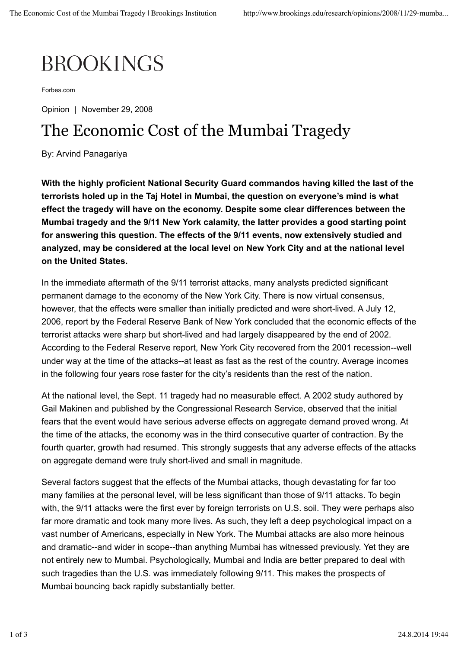## **BROOKINGS**

Forbes.com

Opinion | November 29, 2008

## The Economic Cost of the Mumbai Tragedy

By: Arvind Panagariya

**With the highly proficient National Security Guard commandos having killed the last of the terrorists holed up in the Taj Hotel in Mumbai, the question on everyone's mind is what effect the tragedy will have on the economy. Despite some clear differences between the Mumbai tragedy and the 9/11 New York calamity, the latter provides a good starting point for answering this question. The effects of the 9/11 events, now extensively studied and analyzed, may be considered at the local level on New York City and at the national level on the United States.**

In the immediate aftermath of the 9/11 terrorist attacks, many analysts predicted significant permanent damage to the economy of the New York City. There is now virtual consensus, however, that the effects were smaller than initially predicted and were short-lived. A July 12, 2006, report by the Federal Reserve Bank of New York concluded that the economic effects of the terrorist attacks were sharp but short-lived and had largely disappeared by the end of 2002. According to the Federal Reserve report, New York City recovered from the 2001 recession--well under way at the time of the attacks--at least as fast as the rest of the country. Average incomes in the following four years rose faster for the city's residents than the rest of the nation.

At the national level, the Sept. 11 tragedy had no measurable effect. A 2002 study authored by Gail Makinen and published by the Congressional Research Service, observed that the initial fears that the event would have serious adverse effects on aggregate demand proved wrong. At the time of the attacks, the economy was in the third consecutive quarter of contraction. By the fourth quarter, growth had resumed. This strongly suggests that any adverse effects of the attacks on aggregate demand were truly short-lived and small in magnitude.

Several factors suggest that the effects of the Mumbai attacks, though devastating for far too many families at the personal level, will be less significant than those of 9/11 attacks. To begin with, the 9/11 attacks were the first ever by foreign terrorists on U.S. soil. They were perhaps also far more dramatic and took many more lives. As such, they left a deep psychological impact on a vast number of Americans, especially in New York. The Mumbai attacks are also more heinous and dramatic--and wider in scope--than anything Mumbai has witnessed previously. Yet they are not entirely new to Mumbai. Psychologically, Mumbai and India are better prepared to deal with such tragedies than the U.S. was immediately following 9/11. This makes the prospects of Mumbai bouncing back rapidly substantially better.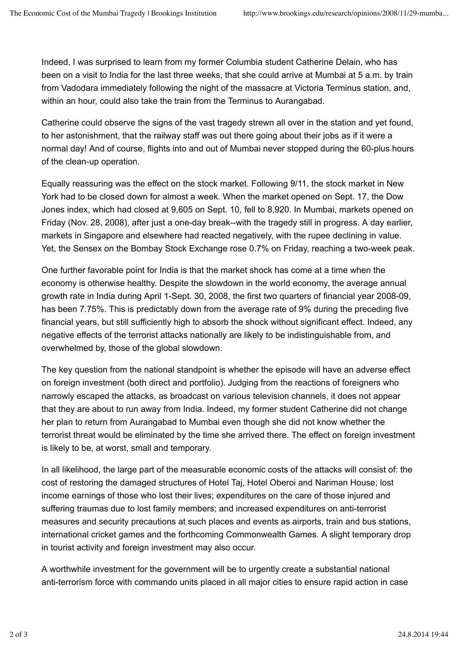Indeed, I was surprised to learn from my former Columbia student Catherine Delain, who has been on a visit to India for the last three weeks, that she could arrive at Mumbai at 5 a.m. by train from Vadodara immediately following the night of the massacre at Victoria Terminus station, and, within an hour, could also take the train from the Terminus to Aurangabad.

Catherine could observe the signs of the vast tragedy strewn all over in the station and yet found, to her astonishment, that the railway staff was out there going about their jobs as if it were a normal day! And of course, flights into and out of Mumbai never stopped during the 60-plus hours of the clean-up operation.

Equally reassuring was the effect on the stock market. Following 9/11, the stock market in New York had to be closed down for almost a week. When the market opened on Sept. 17, the Dow Jones index, which had closed at 9,605 on Sept. 10, fell to 8,920. In Mumbai, markets opened on Friday (Nov. 28, 2008), after just a one-day break--with the tragedy still in progress. A day earlier, markets in Singapore and elsewhere had reacted negatively, with the rupee declining in value. Yet, the Sensex on the Bombay Stock Exchange rose 0.7% on Friday, reaching a two-week peak.

One further favorable point for India is that the market shock has come at a time when the economy is otherwise healthy. Despite the slowdown in the world economy, the average annual growth rate in India during April 1-Sept. 30, 2008, the first two quarters of financial year 2008-09, has been 7.75%. This is predictably down from the average rate of 9% during the preceding five financial years, but still sufficiently high to absorb the shock without significant effect. Indeed, any negative effects of the terrorist attacks nationally are likely to be indistinguishable from, and overwhelmed by, those of the global slowdown.

The key question from the national standpoint is whether the episode will have an adverse effect on foreign investment (both direct and portfolio). Judging from the reactions of foreigners who narrowly escaped the attacks, as broadcast on various television channels, it does not appear that they are about to run away from India. Indeed, my former student Catherine did not change her plan to return from Aurangabad to Mumbai even though she did not know whether the terrorist threat would be eliminated by the time she arrived there. The effect on foreign investment is likely to be, at worst, small and temporary.

In all likelihood, the large part of the measurable economic costs of the attacks will consist of: the cost of restoring the damaged structures of Hotel Taj, Hotel Oberoi and Nariman House; lost income earnings of those who lost their lives; expenditures on the care of those injured and suffering traumas due to lost family members; and increased expenditures on anti-terrorist measures and security precautions at such places and events as airports, train and bus stations, international cricket games and the forthcoming Commonwealth Games. A slight temporary drop in tourist activity and foreign investment may also occur.

A worthwhile investment for the government will be to urgently create a substantial national anti-terrorism force with commando units placed in all major cities to ensure rapid action in case